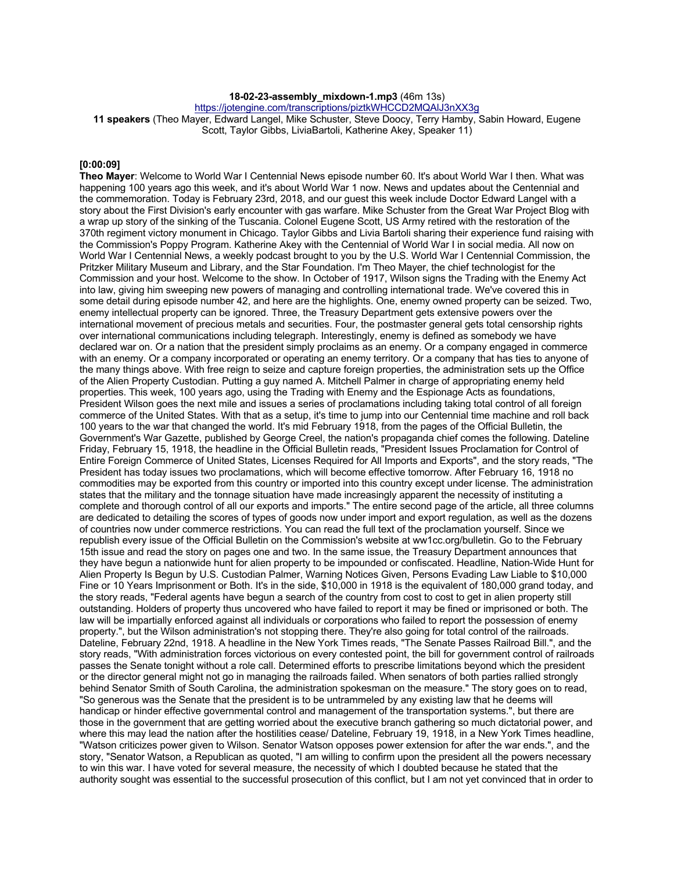**18-02-23-assembly\_mixdown-1.mp3** (46m 13s)

https://jotengine.com/transcriptions/piztkWHCCD2MQAlJ3nXX3g

**11 speakers** (Theo Mayer, Edward Langel, Mike Schuster, Steve Doocy, Terry Hamby, Sabin Howard, Eugene Scott, Taylor Gibbs, LiviaBartoli, Katherine Akey, Speaker 11)

#### **[0:00:09]**

**Theo Mayer**: Welcome to World War I Centennial News episode number 60. It's about World War I then. What was happening 100 years ago this week, and it's about World War 1 now. News and updates about the Centennial and the commemoration. Today is February 23rd, 2018, and our guest this week include Doctor Edward Langel with a story about the First Division's early encounter with gas warfare. Mike Schuster from the Great War Project Blog with a wrap up story of the sinking of the Tuscania. Colonel Eugene Scott, US Army retired with the restoration of the 370th regiment victory monument in Chicago. Taylor Gibbs and Livia Bartoli sharing their experience fund raising with the Commission's Poppy Program. Katherine Akey with the Centennial of World War I in social media. All now on World War I Centennial News, a weekly podcast brought to you by the U.S. World War I Centennial Commission, the Pritzker Military Museum and Library, and the Star Foundation. I'm Theo Mayer, the chief technologist for the Commission and your host. Welcome to the show. In October of 1917, Wilson signs the Trading with the Enemy Act into law, giving him sweeping new powers of managing and controlling international trade. We've covered this in some detail during episode number 42, and here are the highlights. One, enemy owned property can be seized. Two, enemy intellectual property can be ignored. Three, the Treasury Department gets extensive powers over the international movement of precious metals and securities. Four, the postmaster general gets total censorship rights over international communications including telegraph. Interestingly, enemy is defined as somebody we have declared war on. Or a nation that the president simply proclaims as an enemy. Or a company engaged in commerce with an enemy. Or a company incorporated or operating an enemy territory. Or a company that has ties to anyone of the many things above. With free reign to seize and capture foreign properties, the administration sets up the Office of the Alien Property Custodian. Putting a guy named A. Mitchell Palmer in charge of appropriating enemy held properties. This week, 100 years ago, using the Trading with Enemy and the Espionage Acts as foundations, President Wilson goes the next mile and issues a series of proclamations including taking total control of all foreign commerce of the United States. With that as a setup, it's time to jump into our Centennial time machine and roll back 100 years to the war that changed the world. It's mid February 1918, from the pages of the Official Bulletin, the Government's War Gazette, published by George Creel, the nation's propaganda chief comes the following. Dateline Friday, February 15, 1918, the headline in the Official Bulletin reads, "President Issues Proclamation for Control of Entire Foreign Commerce of United States, Licenses Required for All Imports and Exports", and the story reads, "The President has today issues two proclamations, which will become effective tomorrow. After February 16, 1918 no commodities may be exported from this country or imported into this country except under license. The administration states that the military and the tonnage situation have made increasingly apparent the necessity of instituting a complete and thorough control of all our exports and imports." The entire second page of the article, all three columns are dedicated to detailing the scores of types of goods now under import and export regulation, as well as the dozens of countries now under commerce restrictions. You can read the full text of the proclamation yourself. Since we republish every issue of the Official Bulletin on the Commission's website at ww1cc.org/bulletin. Go to the February 15th issue and read the story on pages one and two. In the same issue, the Treasury Department announces that they have begun a nationwide hunt for alien property to be impounded or confiscated. Headline, Nation-Wide Hunt for Alien Property Is Begun by U.S. Custodian Palmer, Warning Notices Given, Persons Evading Law Liable to \$10,000 Fine or 10 Years Imprisonment or Both. It's in the side, \$10,000 in 1918 is the equivalent of 180,000 grand today, and the story reads, "Federal agents have begun a search of the country from cost to cost to get in alien property still outstanding. Holders of property thus uncovered who have failed to report it may be fined or imprisoned or both. The law will be impartially enforced against all individuals or corporations who failed to report the possession of enemy property.", but the Wilson administration's not stopping there. They're also going for total control of the railroads. Dateline, February 22nd, 1918. A headline in the New York Times reads, "The Senate Passes Railroad Bill.", and the story reads, "With administration forces victorious on every contested point, the bill for government control of railroads passes the Senate tonight without a role call. Determined efforts to prescribe limitations beyond which the president or the director general might not go in managing the railroads failed. When senators of both parties rallied strongly behind Senator Smith of South Carolina, the administration spokesman on the measure." The story goes on to read, "So generous was the Senate that the president is to be untrammeled by any existing law that he deems will handicap or hinder effective governmental control and management of the transportation systems.", but there are those in the government that are getting worried about the executive branch gathering so much dictatorial power, and where this may lead the nation after the hostilities cease/ Dateline, February 19, 1918, in a New York Times headline, "Watson criticizes power given to Wilson. Senator Watson opposes power extension for after the war ends.", and the story, "Senator Watson, a Republican as quoted, "I am willing to confirm upon the president all the powers necessary to win this war. I have voted for several measure, the necessity of which I doubted because he stated that the authority sought was essential to the successful prosecution of this conflict, but I am not yet convinced that in order to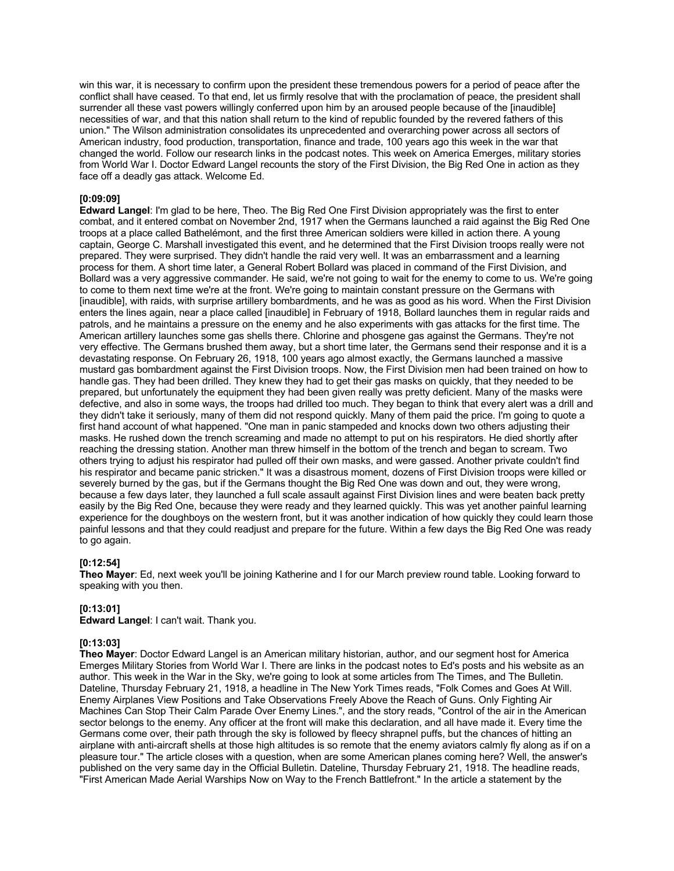win this war, it is necessary to confirm upon the president these tremendous powers for a period of peace after the conflict shall have ceased. To that end, let us firmly resolve that with the proclamation of peace, the president shall surrender all these vast powers willingly conferred upon him by an aroused people because of the [inaudible] necessities of war, and that this nation shall return to the kind of republic founded by the revered fathers of this union." The Wilson administration consolidates its unprecedented and overarching power across all sectors of American industry, food production, transportation, finance and trade, 100 years ago this week in the war that changed the world. Follow our research links in the podcast notes. This week on America Emerges, military stories from World War I. Doctor Edward Langel recounts the story of the First Division, the Big Red One in action as they face off a deadly gas attack. Welcome Ed.

# **[0:09:09]**

**Edward Langel**: I'm glad to be here, Theo. The Big Red One First Division appropriately was the first to enter combat, and it entered combat on November 2nd, 1917 when the Germans launched a raid against the Big Red One troops at a place called Bathelémont, and the first three American soldiers were killed in action there. A young captain, George C. Marshall investigated this event, and he determined that the First Division troops really were not prepared. They were surprised. They didn't handle the raid very well. It was an embarrassment and a learning process for them. A short time later, a General Robert Bollard was placed in command of the First Division, and Bollard was a very aggressive commander. He said, we're not going to wait for the enemy to come to us. We're going to come to them next time we're at the front. We're going to maintain constant pressure on the Germans with [inaudible], with raids, with surprise artillery bombardments, and he was as good as his word. When the First Division enters the lines again, near a place called [inaudible] in February of 1918, Bollard launches them in regular raids and patrols, and he maintains a pressure on the enemy and he also experiments with gas attacks for the first time. The American artillery launches some gas shells there. Chlorine and phosgene gas against the Germans. They're not very effective. The Germans brushed them away, but a short time later, the Germans send their response and it is a devastating response. On February 26, 1918, 100 years ago almost exactly, the Germans launched a massive mustard gas bombardment against the First Division troops. Now, the First Division men had been trained on how to handle gas. They had been drilled. They knew they had to get their gas masks on quickly, that they needed to be prepared, but unfortunately the equipment they had been given really was pretty deficient. Many of the masks were defective, and also in some ways, the troops had drilled too much. They began to think that every alert was a drill and they didn't take it seriously, many of them did not respond quickly. Many of them paid the price. I'm going to quote a first hand account of what happened. "One man in panic stampeded and knocks down two others adjusting their masks. He rushed down the trench screaming and made no attempt to put on his respirators. He died shortly after reaching the dressing station. Another man threw himself in the bottom of the trench and began to scream. Two others trying to adjust his respirator had pulled off their own masks, and were gassed. Another private couldn't find his respirator and became panic stricken." It was a disastrous moment, dozens of First Division troops were killed or severely burned by the gas, but if the Germans thought the Big Red One was down and out, they were wrong, because a few days later, they launched a full scale assault against First Division lines and were beaten back pretty easily by the Big Red One, because they were ready and they learned quickly. This was yet another painful learning experience for the doughboys on the western front, but it was another indication of how quickly they could learn those painful lessons and that they could readjust and prepare for the future. Within a few days the Big Red One was ready to go again.

### **[0:12:54]**

**Theo Mayer**: Ed, next week you'll be joining Katherine and I for our March preview round table. Looking forward to speaking with you then.

### **[0:13:01]**

**Edward Langel**: I can't wait. Thank you.

# **[0:13:03]**

**Theo Mayer**: Doctor Edward Langel is an American military historian, author, and our segment host for America Emerges Military Stories from World War I. There are links in the podcast notes to Ed's posts and his website as an author. This week in the War in the Sky, we're going to look at some articles from The Times, and The Bulletin. Dateline, Thursday February 21, 1918, a headline in The New York Times reads, "Folk Comes and Goes At Will. Enemy Airplanes View Positions and Take Observations Freely Above the Reach of Guns. Only Fighting Air Machines Can Stop Their Calm Parade Over Enemy Lines.", and the story reads, "Control of the air in the American sector belongs to the enemy. Any officer at the front will make this declaration, and all have made it. Every time the Germans come over, their path through the sky is followed by fleecy shrapnel puffs, but the chances of hitting an airplane with anti-aircraft shells at those high altitudes is so remote that the enemy aviators calmly fly along as if on a pleasure tour." The article closes with a question, when are some American planes coming here? Well, the answer's published on the very same day in the Official Bulletin. Dateline, Thursday February 21, 1918. The headline reads, "First American Made Aerial Warships Now on Way to the French Battlefront." In the article a statement by the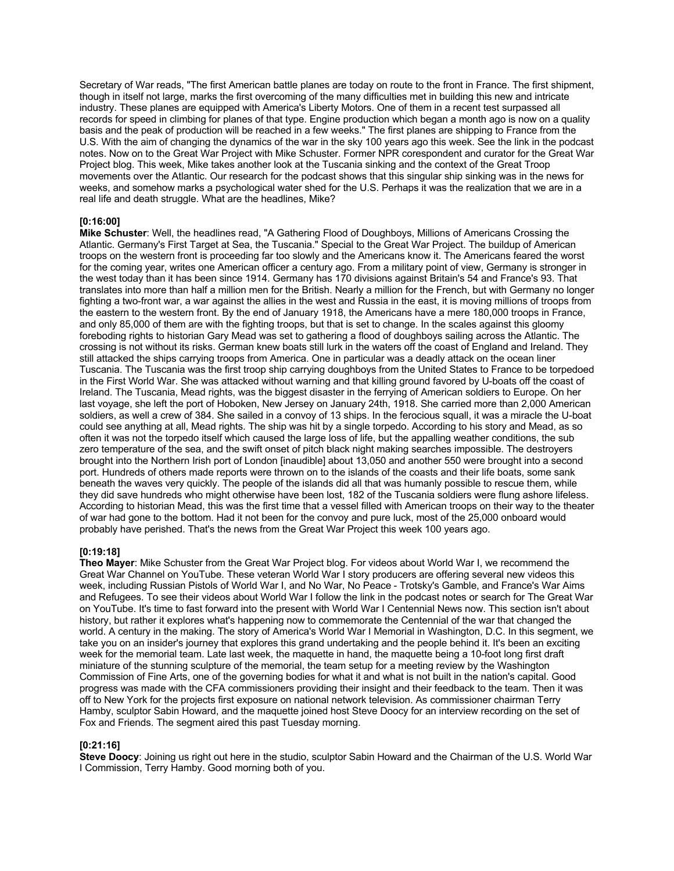Secretary of War reads, "The first American battle planes are today on route to the front in France. The first shipment, though in itself not large, marks the first overcoming of the many difficulties met in building this new and intricate industry. These planes are equipped with America's Liberty Motors. One of them in a recent test surpassed all records for speed in climbing for planes of that type. Engine production which began a month ago is now on a quality basis and the peak of production will be reached in a few weeks." The first planes are shipping to France from the U.S. With the aim of changing the dynamics of the war in the sky 100 years ago this week. See the link in the podcast notes. Now on to the Great War Project with Mike Schuster. Former NPR corespondent and curator for the Great War Project blog. This week, Mike takes another look at the Tuscania sinking and the context of the Great Troop movements over the Atlantic. Our research for the podcast shows that this singular ship sinking was in the news for weeks, and somehow marks a psychological water shed for the U.S. Perhaps it was the realization that we are in a real life and death struggle. What are the headlines, Mike?

### **[0:16:00]**

**Mike Schuster**: Well, the headlines read, "A Gathering Flood of Doughboys, Millions of Americans Crossing the Atlantic. Germany's First Target at Sea, the Tuscania." Special to the Great War Project. The buildup of American troops on the western front is proceeding far too slowly and the Americans know it. The Americans feared the worst for the coming year, writes one American officer a century ago. From a military point of view, Germany is stronger in the west today than it has been since 1914. Germany has 170 divisions against Britain's 54 and France's 93. That translates into more than half a million men for the British. Nearly a million for the French, but with Germany no longer fighting a two-front war, a war against the allies in the west and Russia in the east, it is moving millions of troops from the eastern to the western front. By the end of January 1918, the Americans have a mere 180,000 troops in France, and only 85,000 of them are with the fighting troops, but that is set to change. In the scales against this gloomy foreboding rights to historian Gary Mead was set to gathering a flood of doughboys sailing across the Atlantic. The crossing is not without its risks. German knew boats still lurk in the waters off the coast of England and Ireland. They still attacked the ships carrying troops from America. One in particular was a deadly attack on the ocean liner Tuscania. The Tuscania was the first troop ship carrying doughboys from the United States to France to be torpedoed in the First World War. She was attacked without warning and that killing ground favored by U-boats off the coast of Ireland. The Tuscania, Mead rights, was the biggest disaster in the ferrying of American soldiers to Europe. On her last voyage, she left the port of Hoboken, New Jersey on January 24th, 1918. She carried more than 2,000 American soldiers, as well a crew of 384. She sailed in a convoy of 13 ships. In the ferocious squall, it was a miracle the U-boat could see anything at all, Mead rights. The ship was hit by a single torpedo. According to his story and Mead, as so often it was not the torpedo itself which caused the large loss of life, but the appalling weather conditions, the sub zero temperature of the sea, and the swift onset of pitch black night making searches impossible. The destroyers brought into the Northern Irish port of London [inaudible] about 13,050 and another 550 were brought into a second port. Hundreds of others made reports were thrown on to the islands of the coasts and their life boats, some sank beneath the waves very quickly. The people of the islands did all that was humanly possible to rescue them, while they did save hundreds who might otherwise have been lost, 182 of the Tuscania soldiers were flung ashore lifeless. According to historian Mead, this was the first time that a vessel filled with American troops on their way to the theater of war had gone to the bottom. Had it not been for the convoy and pure luck, most of the 25,000 onboard would probably have perished. That's the news from the Great War Project this week 100 years ago.

# **[0:19:18]**

**Theo Mayer**: Mike Schuster from the Great War Project blog. For videos about World War I, we recommend the Great War Channel on YouTube. These veteran World War I story producers are offering several new videos this week, including Russian Pistols of World War I, and No War, No Peace - Trotsky's Gamble, and France's War Aims and Refugees. To see their videos about World War I follow the link in the podcast notes or search for The Great War on YouTube. It's time to fast forward into the present with World War I Centennial News now. This section isn't about history, but rather it explores what's happening now to commemorate the Centennial of the war that changed the world. A century in the making. The story of America's World War I Memorial in Washington, D.C. In this segment, we take you on an insider's journey that explores this grand undertaking and the people behind it. It's been an exciting week for the memorial team. Late last week, the maquette in hand, the maquette being a 10-foot long first draft miniature of the stunning sculpture of the memorial, the team setup for a meeting review by the Washington Commission of Fine Arts, one of the governing bodies for what it and what is not built in the nation's capital. Good progress was made with the CFA commissioners providing their insight and their feedback to the team. Then it was off to New York for the projects first exposure on national network television. As commissioner chairman Terry Hamby, sculptor Sabin Howard, and the maquette joined host Steve Doocy for an interview recording on the set of Fox and Friends. The segment aired this past Tuesday morning.

# **[0:21:16]**

**Steve Doocy**: Joining us right out here in the studio, sculptor Sabin Howard and the Chairman of the U.S. World War I Commission, Terry Hamby. Good morning both of you.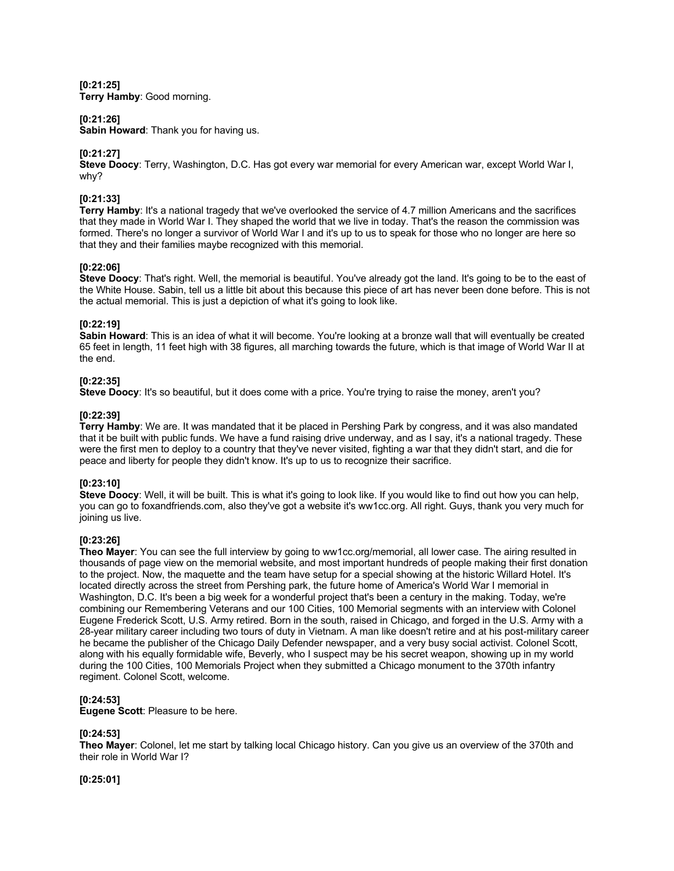**[0:21:25] Terry Hamby**: Good morning.

### **[0:21:26]**

**Sabin Howard**: Thank you for having us.

# **[0:21:27]**

**Steve Doocy**: Terry, Washington, D.C. Has got every war memorial for every American war, except World War I, why?

# **[0:21:33]**

**Terry Hamby**: It's a national tragedy that we've overlooked the service of 4.7 million Americans and the sacrifices that they made in World War I. They shaped the world that we live in today. That's the reason the commission was formed. There's no longer a survivor of World War I and it's up to us to speak for those who no longer are here so that they and their families maybe recognized with this memorial.

### **[0:22:06]**

**Steve Doocy**: That's right. Well, the memorial is beautiful. You've already got the land. It's going to be to the east of the White House. Sabin, tell us a little bit about this because this piece of art has never been done before. This is not the actual memorial. This is just a depiction of what it's going to look like.

### **[0:22:19]**

**Sabin Howard**: This is an idea of what it will become. You're looking at a bronze wall that will eventually be created 65 feet in length, 11 feet high with 38 figures, all marching towards the future, which is that image of World War II at the end.

### **[0:22:35]**

**Steve Doocy**: It's so beautiful, but it does come with a price. You're trying to raise the money, aren't you?

### **[0:22:39]**

**Terry Hamby**: We are. It was mandated that it be placed in Pershing Park by congress, and it was also mandated that it be built with public funds. We have a fund raising drive underway, and as I say, it's a national tragedy. These were the first men to deploy to a country that they've never visited, fighting a war that they didn't start, and die for peace and liberty for people they didn't know. It's up to us to recognize their sacrifice.

### **[0:23:10]**

**Steve Doocy**: Well, it will be built. This is what it's going to look like. If you would like to find out how you can help, you can go to foxandfriends.com, also they've got a website it's ww1cc.org. All right. Guys, thank you very much for joining us live.

# **[0:23:26]**

**Theo Mayer**: You can see the full interview by going to ww1cc.org/memorial, all lower case. The airing resulted in thousands of page view on the memorial website, and most important hundreds of people making their first donation to the project. Now, the maquette and the team have setup for a special showing at the historic Willard Hotel. It's located directly across the street from Pershing park, the future home of America's World War I memorial in Washington, D.C. It's been a big week for a wonderful project that's been a century in the making. Today, we're combining our Remembering Veterans and our 100 Cities, 100 Memorial segments with an interview with Colonel Eugene Frederick Scott, U.S. Army retired. Born in the south, raised in Chicago, and forged in the U.S. Army with a 28-year military career including two tours of duty in Vietnam. A man like doesn't retire and at his post-military career he became the publisher of the Chicago Daily Defender newspaper, and a very busy social activist. Colonel Scott, along with his equally formidable wife, Beverly, who I suspect may be his secret weapon, showing up in my world during the 100 Cities, 100 Memorials Project when they submitted a Chicago monument to the 370th infantry regiment. Colonel Scott, welcome.

### **[0:24:53]**

**Eugene Scott**: Pleasure to be here.

# **[0:24:53]**

**Theo Mayer**: Colonel, let me start by talking local Chicago history. Can you give us an overview of the 370th and their role in World War I?

**[0:25:01]**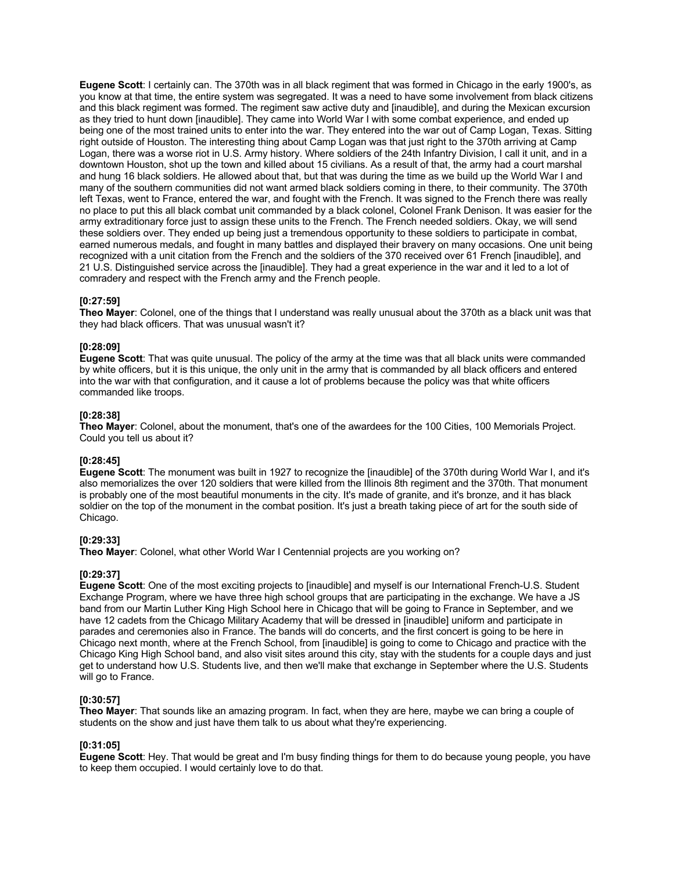**Eugene Scott**: I certainly can. The 370th was in all black regiment that was formed in Chicago in the early 1900's, as you know at that time, the entire system was segregated. It was a need to have some involvement from black citizens and this black regiment was formed. The regiment saw active duty and [inaudible], and during the Mexican excursion as they tried to hunt down [inaudible]. They came into World War I with some combat experience, and ended up being one of the most trained units to enter into the war. They entered into the war out of Camp Logan, Texas. Sitting right outside of Houston. The interesting thing about Camp Logan was that just right to the 370th arriving at Camp Logan, there was a worse riot in U.S. Army history. Where soldiers of the 24th Infantry Division, I call it unit, and in a downtown Houston, shot up the town and killed about 15 civilians. As a result of that, the army had a court marshal and hung 16 black soldiers. He allowed about that, but that was during the time as we build up the World War I and many of the southern communities did not want armed black soldiers coming in there, to their community. The 370th left Texas, went to France, entered the war, and fought with the French. It was signed to the French there was really no place to put this all black combat unit commanded by a black colonel, Colonel Frank Denison. It was easier for the army extraditionary force just to assign these units to the French. The French needed soldiers. Okay, we will send these soldiers over. They ended up being just a tremendous opportunity to these soldiers to participate in combat, earned numerous medals, and fought in many battles and displayed their bravery on many occasions. One unit being recognized with a unit citation from the French and the soldiers of the 370 received over 61 French [inaudible], and 21 U.S. Distinguished service across the [inaudible]. They had a great experience in the war and it led to a lot of comradery and respect with the French army and the French people.

### **[0:27:59]**

**Theo Mayer**: Colonel, one of the things that I understand was really unusual about the 370th as a black unit was that they had black officers. That was unusual wasn't it?

#### **[0:28:09]**

**Eugene Scott**: That was quite unusual. The policy of the army at the time was that all black units were commanded by white officers, but it is this unique, the only unit in the army that is commanded by all black officers and entered into the war with that configuration, and it cause a lot of problems because the policy was that white officers commanded like troops.

#### **[0:28:38]**

**Theo Mayer**: Colonel, about the monument, that's one of the awardees for the 100 Cities, 100 Memorials Project. Could you tell us about it?

#### **[0:28:45]**

**Eugene Scott**: The monument was built in 1927 to recognize the [inaudible] of the 370th during World War I, and it's also memorializes the over 120 soldiers that were killed from the Illinois 8th regiment and the 370th. That monument is probably one of the most beautiful monuments in the city. It's made of granite, and it's bronze, and it has black soldier on the top of the monument in the combat position. It's just a breath taking piece of art for the south side of Chicago.

#### **[0:29:33]**

**Theo Mayer**: Colonel, what other World War I Centennial projects are you working on?

### **[0:29:37]**

**Eugene Scott**: One of the most exciting projects to [inaudible] and myself is our International French-U.S. Student Exchange Program, where we have three high school groups that are participating in the exchange. We have a JS band from our Martin Luther King High School here in Chicago that will be going to France in September, and we have 12 cadets from the Chicago Military Academy that will be dressed in [inaudible] uniform and participate in parades and ceremonies also in France. The bands will do concerts, and the first concert is going to be here in Chicago next month, where at the French School, from [inaudible] is going to come to Chicago and practice with the Chicago King High School band, and also visit sites around this city, stay with the students for a couple days and just get to understand how U.S. Students live, and then we'll make that exchange in September where the U.S. Students will go to France.

#### **[0:30:57]**

**Theo Mayer**: That sounds like an amazing program. In fact, when they are here, maybe we can bring a couple of students on the show and just have them talk to us about what they're experiencing.

### **[0:31:05]**

**Eugene Scott**: Hey. That would be great and I'm busy finding things for them to do because young people, you have to keep them occupied. I would certainly love to do that.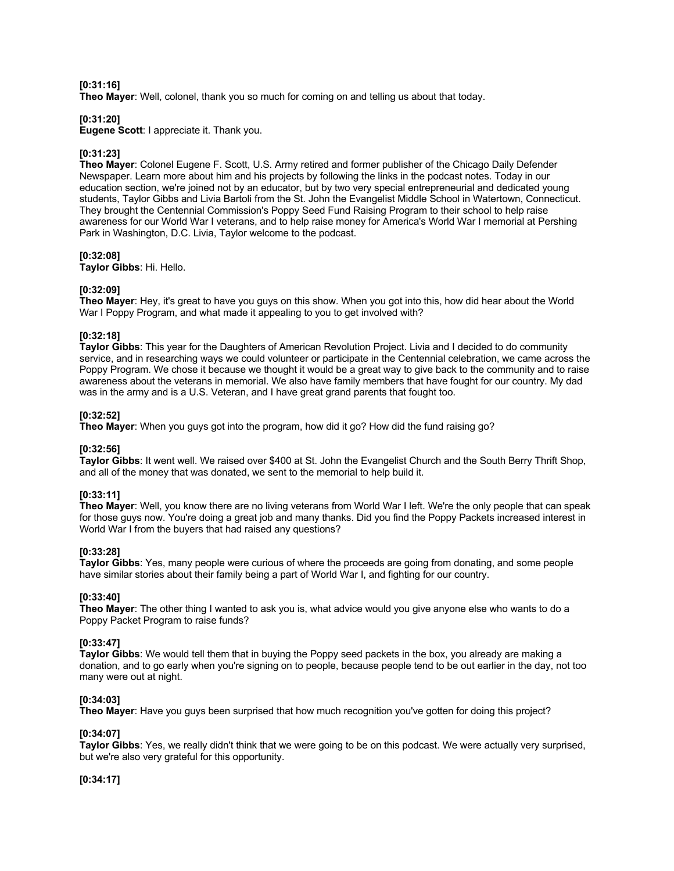# **[0:31:16]**

**Theo Mayer**: Well, colonel, thank you so much for coming on and telling us about that today.

### **[0:31:20]**

**Eugene Scott**: I appreciate it. Thank you.

### **[0:31:23]**

**Theo Mayer**: Colonel Eugene F. Scott, U.S. Army retired and former publisher of the Chicago Daily Defender Newspaper. Learn more about him and his projects by following the links in the podcast notes. Today in our education section, we're joined not by an educator, but by two very special entrepreneurial and dedicated young students, Taylor Gibbs and Livia Bartoli from the St. John the Evangelist Middle School in Watertown, Connecticut. They brought the Centennial Commission's Poppy Seed Fund Raising Program to their school to help raise awareness for our World War I veterans, and to help raise money for America's World War I memorial at Pershing Park in Washington, D.C. Livia, Taylor welcome to the podcast.

#### **[0:32:08]**

**Taylor Gibbs**: Hi. Hello.

### **[0:32:09]**

**Theo Mayer**: Hey, it's great to have you guys on this show. When you got into this, how did hear about the World War I Poppy Program, and what made it appealing to you to get involved with?

### **[0:32:18]**

**Taylor Gibbs**: This year for the Daughters of American Revolution Project. Livia and I decided to do community service, and in researching ways we could volunteer or participate in the Centennial celebration, we came across the Poppy Program. We chose it because we thought it would be a great way to give back to the community and to raise awareness about the veterans in memorial. We also have family members that have fought for our country. My dad was in the army and is a U.S. Veteran, and I have great grand parents that fought too.

### **[0:32:52]**

**Theo Mayer**: When you guys got into the program, how did it go? How did the fund raising go?

#### **[0:32:56]**

**Taylor Gibbs**: It went well. We raised over \$400 at St. John the Evangelist Church and the South Berry Thrift Shop, and all of the money that was donated, we sent to the memorial to help build it.

#### **[0:33:11]**

**Theo Mayer**: Well, you know there are no living veterans from World War I left. We're the only people that can speak for those guys now. You're doing a great job and many thanks. Did you find the Poppy Packets increased interest in World War I from the buyers that had raised any questions?

#### **[0:33:28]**

**Taylor Gibbs**: Yes, many people were curious of where the proceeds are going from donating, and some people have similar stories about their family being a part of World War I, and fighting for our country.

### **[0:33:40]**

**Theo Mayer**: The other thing I wanted to ask you is, what advice would you give anyone else who wants to do a Poppy Packet Program to raise funds?

#### **[0:33:47]**

**Taylor Gibbs**: We would tell them that in buying the Poppy seed packets in the box, you already are making a donation, and to go early when you're signing on to people, because people tend to be out earlier in the day, not too many were out at night.

### **[0:34:03]**

**Theo Mayer**: Have you guys been surprised that how much recognition you've gotten for doing this project?

### **[0:34:07]**

**Taylor Gibbs**: Yes, we really didn't think that we were going to be on this podcast. We were actually very surprised, but we're also very grateful for this opportunity.

**[0:34:17]**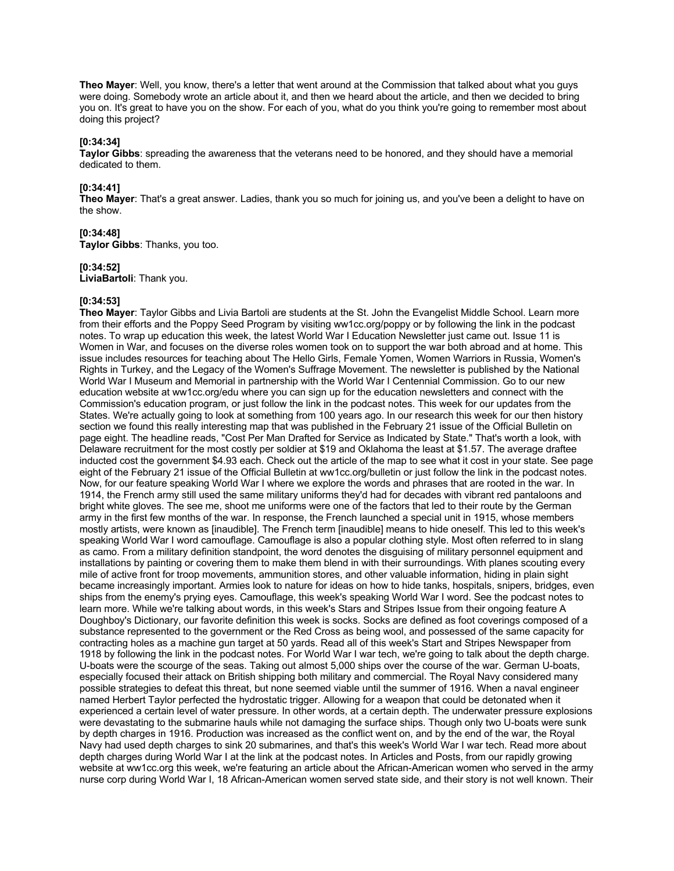**Theo Mayer**: Well, you know, there's a letter that went around at the Commission that talked about what you guys were doing. Somebody wrote an article about it, and then we heard about the article, and then we decided to bring you on. It's great to have you on the show. For each of you, what do you think you're going to remember most about doing this project?

### **[0:34:34]**

**Taylor Gibbs**: spreading the awareness that the veterans need to be honored, and they should have a memorial dedicated to them.

### **[0:34:41]**

**Theo Mayer**: That's a great answer. Ladies, thank you so much for joining us, and you've been a delight to have on the show.

### **[0:34:48]**

**Taylor Gibbs**: Thanks, you too.

#### **[0:34:52]**

**LiviaBartoli**: Thank you.

#### **[0:34:53]**

**Theo Mayer**: Taylor Gibbs and Livia Bartoli are students at the St. John the Evangelist Middle School. Learn more from their efforts and the Poppy Seed Program by visiting ww1cc.org/poppy or by following the link in the podcast notes. To wrap up education this week, the latest World War I Education Newsletter just came out. Issue 11 is Women in War, and focuses on the diverse roles women took on to support the war both abroad and at home. This issue includes resources for teaching about The Hello Girls, Female Yomen, Women Warriors in Russia, Women's Rights in Turkey, and the Legacy of the Women's Suffrage Movement. The newsletter is published by the National World War I Museum and Memorial in partnership with the World War I Centennial Commission. Go to our new education website at ww1cc.org/edu where you can sign up for the education newsletters and connect with the Commission's education program, or just follow the link in the podcast notes. This week for our updates from the States. We're actually going to look at something from 100 years ago. In our research this week for our then history section we found this really interesting map that was published in the February 21 issue of the Official Bulletin on page eight. The headline reads, "Cost Per Man Drafted for Service as Indicated by State." That's worth a look, with Delaware recruitment for the most costly per soldier at \$19 and Oklahoma the least at \$1.57. The average draftee inducted cost the government \$4.93 each. Check out the article of the map to see what it cost in your state. See page eight of the February 21 issue of the Official Bulletin at ww1cc.org/bulletin or just follow the link in the podcast notes. Now, for our feature speaking World War I where we explore the words and phrases that are rooted in the war. In 1914, the French army still used the same military uniforms they'd had for decades with vibrant red pantaloons and bright white gloves. The see me, shoot me uniforms were one of the factors that led to their route by the German army in the first few months of the war. In response, the French launched a special unit in 1915, whose members mostly artists, were known as [inaudible]. The French term [inaudible] means to hide oneself. This led to this week's speaking World War I word camouflage. Camouflage is also a popular clothing style. Most often referred to in slang as camo. From a military definition standpoint, the word denotes the disguising of military personnel equipment and installations by painting or covering them to make them blend in with their surroundings. With planes scouting every mile of active front for troop movements, ammunition stores, and other valuable information, hiding in plain sight became increasingly important. Armies look to nature for ideas on how to hide tanks, hospitals, snipers, bridges, even ships from the enemy's prying eyes. Camouflage, this week's speaking World War I word. See the podcast notes to learn more. While we're talking about words, in this week's Stars and Stripes Issue from their ongoing feature A Doughboy's Dictionary, our favorite definition this week is socks. Socks are defined as foot coverings composed of a substance represented to the government or the Red Cross as being wool, and possessed of the same capacity for contracting holes as a machine gun target at 50 yards. Read all of this week's Start and Stripes Newspaper from 1918 by following the link in the podcast notes. For World War I war tech, we're going to talk about the depth charge. U-boats were the scourge of the seas. Taking out almost 5,000 ships over the course of the war. German U-boats, especially focused their attack on British shipping both military and commercial. The Royal Navy considered many possible strategies to defeat this threat, but none seemed viable until the summer of 1916. When a naval engineer named Herbert Taylor perfected the hydrostatic trigger. Allowing for a weapon that could be detonated when it experienced a certain level of water pressure. In other words, at a certain depth. The underwater pressure explosions were devastating to the submarine hauls while not damaging the surface ships. Though only two U-boats were sunk by depth charges in 1916. Production was increased as the conflict went on, and by the end of the war, the Royal Navy had used depth charges to sink 20 submarines, and that's this week's World War I war tech. Read more about depth charges during World War I at the link at the podcast notes. In Articles and Posts, from our rapidly growing website at ww1cc.org this week, we're featuring an article about the African-American women who served in the army nurse corp during World War I, 18 African-American women served state side, and their story is not well known. Their